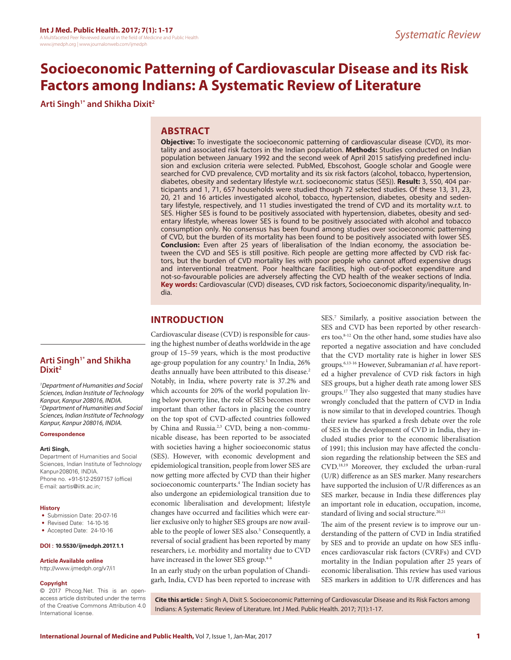# **Socioeconomic Patterning of Cardiovascular Disease and its Risk Factors among Indians: A Systematic Review of Literature**

**Arti Singh1\* and Shikha Dixit2**

## **ABSTRACT**

**Objective:** To investigate the socioeconomic patterning of cardiovascular disease (CVD), its mortality and associated risk factors in the Indian population. **Methods:** Studies conducted on Indian population between January 1992 and the second week of April 2015 satisfying predefined inclusion and exclusion criteria were selected. PubMed, Ebscohost, Google scholar and Google were searched for CVD prevalence, CVD mortality and its six risk factors (alcohol, tobacco, hypertension, diabetes, obesity and sedentary lifestyle w.r.t. socioeconomic status (SES)). **Result:** 3, 550, 404 participants and 1, 71, 657 households were studied though 72 selected studies. Of these 13, 31, 23, 20, 21 and 16 articles investigated alcohol, tobacco, hypertension, diabetes, obesity and sedentary lifestyle, respectively, and 11 studies investigated the trend of CVD and its mortality w.r.t. to SES. Higher SES is found to be positively associated with hypertension, diabetes, obesity and sedentary lifestyle, whereas lower SES is found to be positively associated with alcohol and tobacco consumption only. No consensus has been found among studies over socioeconomic patterning of CVD, but the burden of its mortality has been found to be positively associated with lower SES. **Conclusion:** Even after 25 years of liberalisation of the Indian economy, the association between the CVD and SES is still positive. Rich people are getting more affected by CVD risk factors, but the burden of CVD mortality lies with poor people who cannot afford expensive drugs and interventional treatment. Poor healthcare facilities, high out-of-pocket expenditure and not-so-favourable policies are adversely affecting the CVD health of the weaker sections of India. **Key words:** Cardiovascular (CVD) diseases, CVD risk factors, Socioeconomic disparity/inequality, India.

# **INTRODUCTION**

Cardiovascular disease (CVD) is responsible for causing the highest number of deaths worldwide in the age group of 15–59 years, which is the most productive age-group population for any country.1 In India, 26% deaths annually have been attributed to this disease.<sup>2</sup> Notably, in India, where poverty rate is 37.2% and which accounts for 20% of the world population living below poverty line, the role of SES becomes more important than other factors in placing the country on the top spot of CVD-affected countries followed by China and Russia.2,3 CVD, being a non-communicable disease, has been reported to be associated with societies having a higher socioeconomic status (SES). However, with economic development and epidemiological transition, people from lower SES are now getting more affected by CVD than their higher socioeconomic counterparts.<sup>4</sup> The Indian society has also undergone an epidemiological transition due to economic liberalisation and development; lifestyle changes have occurred and facilities which were earlier exclusive only to higher SES groups are now available to the people of lower SES also.<sup>5</sup> Consequently, a reversal of social gradient has been reported by many researchers, i.e. morbidity and mortality due to CVD have increased in the lower SES group.<sup>4-6</sup>

In an early study on the urban population of Chandigarh, India, CVD has been reported to increase with

SES.7 Similarly, a positive association between the SES and CVD has been reported by other researchers too.8-12 On the other hand, some studies have also reported a negative association and have concluded that the CVD mortality rate is higher in lower SES groups.6,13-16 However, Subramanian *et al*. have reported a higher prevalence of CVD risk factors in high SES groups, but a higher death rate among lower SES groups.<sup>17</sup> They also suggested that many studies have wrongly concluded that the pattern of CVD in India is now similar to that in developed countries. Though their review has sparked a fresh debate over the role of SES in the development of CVD in India, they included studies prior to the economic liberalisation of 1991; this inclusion may have affected the conclusion regarding the relationship between the SES and CVD.18,19 Moreover, they excluded the urban-rural (U/R) difference as an SES marker. Many researchers have supported the inclusion of U/R differences as an SES marker, because in India these differences play an important role in education, occupation, income, standard of living and social structure.<sup>20,21</sup>

The aim of the present review is to improve our understanding of the pattern of CVD in India stratified by SES and to provide an update on how SES influences cardiovascular risk factors (CVRFs) and CVD mortality in the Indian population after 25 years of economic liberalisation. This review has used various SES markers in addition to U/R differences and has

**Copyright**

**Article Available online**  http://www.ijmedph.org/v7/i1

© 2017 Phcog.Net. This is an openaccess article distributed under the terms of the Creative Commons Attribution 4.0 International license.

**Arti Singh1\* and Shikha** 

*1 Department of Humanities and Social Sciences, Indian Institute of Technology Kanpur, Kanpur 208016, INDIA. 2 Department of Humanities and Social Sciences, Indian Institute of Technology Kanpur, Kanpur 208016, INDIA.*

Department of Humanities and Social Sciences, Indian Institute of Technology

Phone no. +91-512-2597157 (office)

• Submission Date: 20-07-16 • Revised Date: 14-10-16 • Accepted Date: 24-10-16 **DOI : 10.5530/ijmedph.2017.1.1**

**Dixit2**

**Correspondence**

Kanpur-208016, INDIA.

E-mail: aartis@iitk.ac.in;

**Arti Singh,**

**History**

**Cite this article :** Singh A, Dixit S. Socioeconomic Patterning of Cardiovascular Disease and its Risk Factors among Indians: A Systematic Review of Literature. Int J Med. Public Health. 2017; 7(1):1-17.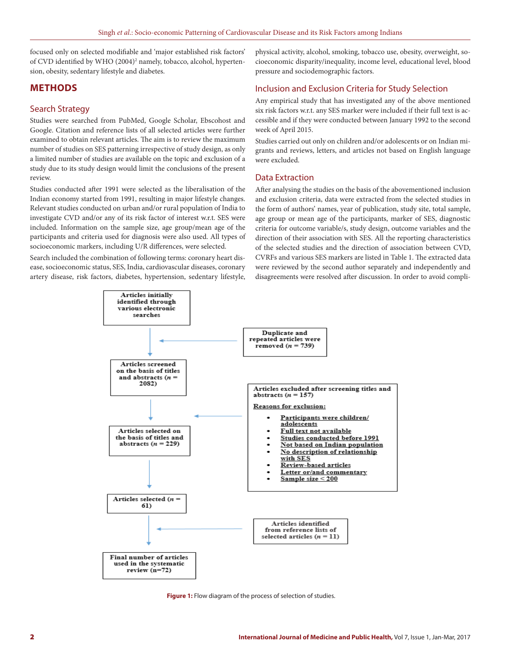focused only on selected modifiable and 'major established risk factors' of CVD identified by WHO (2004)<sup>2</sup> namely, tobacco, alcohol, hypertension, obesity, sedentary lifestyle and diabetes.

## **METHODS**

#### Search Strategy

Studies were searched from PubMed, Google Scholar, Ebscohost and Google. Citation and reference lists of all selected articles were further examined to obtain relevant articles. The aim is to review the maximum number of studies on SES patterning irrespective of study design, as only a limited number of studies are available on the topic and exclusion of a study due to its study design would limit the conclusions of the present review.

Studies conducted after 1991 were selected as the liberalisation of the Indian economy started from 1991, resulting in major lifestyle changes. Relevant studies conducted on urban and/or rural population of India to investigate CVD and/or any of its risk factor of interest w.r.t. SES were included. Information on the sample size, age group/mean age of the participants and criteria used for diagnosis were also used. All types of socioeconomic markers, including U/R differences, were selected.

Search included the combination of following terms: coronary heart disease, socioeconomic status, SES, India, cardiovascular diseases, coronary artery disease, risk factors, diabetes, hypertension, sedentary lifestyle, physical activity, alcohol, smoking, tobacco use, obesity, overweight, socioeconomic disparity/inequality, income level, educational level, blood pressure and sociodemographic factors.

## Inclusion and Exclusion Criteria for Study Selection

Any empirical study that has investigated any of the above mentioned six risk factors w.r.t. any SES marker were included if their full text is accessible and if they were conducted between January 1992 to the second week of April 2015.

Studies carried out only on children and/or adolescents or on Indian migrants and reviews, letters, and articles not based on English language were excluded.

#### Data Extraction

After analysing the studies on the basis of the abovementioned inclusion and exclusion criteria, data were extracted from the selected studies in the form of authors' names, year of publication, study site, total sample, age group or mean age of the participants, marker of SES, diagnostic criteria for outcome variable/s, study design, outcome variables and the direction of their association with SES. All the reporting characteristics of the selected studies and the direction of association between CVD, CVRFs and various SES markers are listed in Table 1. The extracted data were reviewed by the second author separately and independently and disagreements were resolved after discussion. In order to avoid compli-



**Figure 1:** Flow diagram of the process of selection of studies.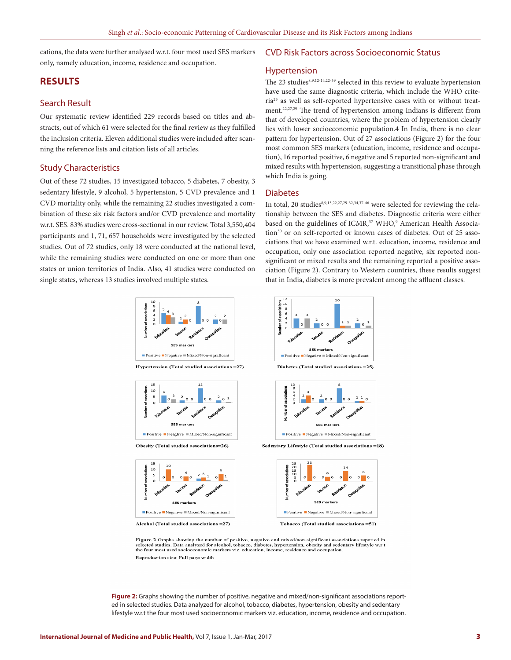cations, the data were further analysed w.r.t. four most used SES markers only, namely education, income, residence and occupation.

## **RESULTS**

#### Search Result

Our systematic review identified 229 records based on titles and abstracts, out of which 61 were selected for the final review as they fulfilled the inclusion criteria. Eleven additional studies were included after scanning the reference lists and citation lists of all articles.

#### Study Characteristics

Out of these 72 studies, 15 investigated tobacco, 5 diabetes, 7 obesity, 3 sedentary lifestyle, 9 alcohol, 5 hypertension, 5 CVD prevalence and 1 CVD mortality only, while the remaining 22 studies investigated a combination of these six risk factors and/or CVD prevalence and mortality w.r.t. SES. 83% studies were cross-sectional in our review. Total 3,550,404 participants and 1, 71, 657 households were investigated by the selected studies. Out of 72 studies, only 18 were conducted at the national level, while the remaining studies were conducted on one or more than one states or union territories of India. Also, 41 studies were conducted on single states, whereas 13 studies involved multiple states.



Hypertension (Total studied associations = 27)



Obesity (Total studied associations=26)



Alcohol (Total studied associations = 27)

#### CVD Risk Factors across Socioeconomic Status

#### Hypertension

The 23 studies<sup>8,9,12-14,22-39</sup> selected in this review to evaluate hypertension have used the same diagnostic criteria, which include the WHO criteria25 as well as self-reported hypertensive cases with or without treatment.22,27,29 The trend of hypertension among Indians is different from that of developed countries, where the problem of hypertension clearly lies with lower socioeconomic population.4 In India, there is no clear pattern for hypertension. Out of 27 associations (Figure 2) for the four most common SES markers (education, income, residence and occupation), 16 reported positive, 6 negative and 5 reported non-significant and mixed results with hypertension, suggesting a transitional phase through which India is going.

#### Diabetes

In total, 20 studies<sup>8,9,13,22,27,29-32,34,37-46</sup> were selected for reviewing the relationship between the SES and diabetes. Diagnostic criteria were either based on the guidelines of ICMR,<sup>37</sup> WHO,<sup>9</sup> American Health Association<sup>30</sup> or on self-reported or known cases of diabetes. Out of 25 associations that we have examined w.r.t. education, income, residence and occupation, only one association reported negative, six reported nonsignificant or mixed results and the remaining reported a positive association (Figure 2). Contrary to Western countries, these results suggest that in India, diabetes is more prevalent among the affluent classes.





Sedentary Lifestyle (Total studied associations =18)



Tobacco (Total studied associations =51)

Figure 2 Graphs showing the number of positive, negative and mixed/non-significant associations reported in selected studies. Data analyzed for alcohol, tobacco, diabetes, hypertension, obesity and sedentary lifestyle w.r. Reproduction size: Full page width

**Figure 2:** Graphs showing the number of positive, negative and mixed/non-significant associations reported in selected studies. Data analyzed for alcohol, tobacco, diabetes, hypertension, obesity and sedentary lifestyle w.r.t the four most used socioeconomic markers viz. education, income, residence and occupation.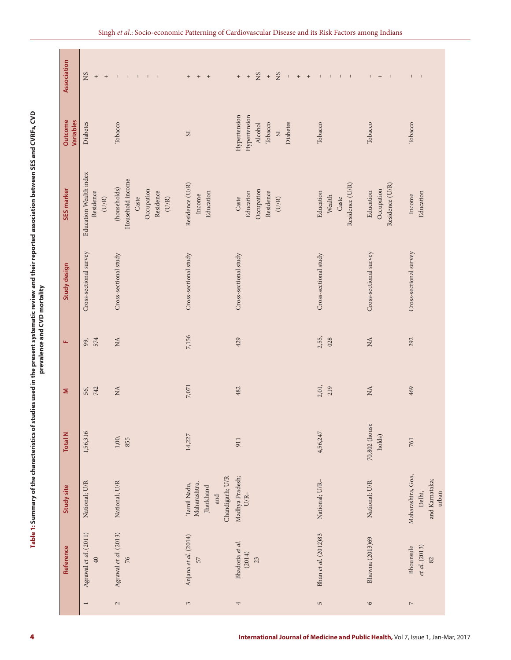| Association<br>Outcome<br>Variables | SN<br>$^{\mathrm{+}}$<br>Diabetes            | Tobacco                                                                       | $+ + + +$<br>S <sub>L</sub>                                        | $_{\rm NS}$<br>NS<br>$^{\rm +}$<br>$\qquad \qquad +$<br>Hypertension<br>Hypertension<br>Diabetes<br>Tobacco<br>Alcohol<br>$_{\rm S}$ | Tobacco                                         | Tobacco                                    | Tobacco                                       |
|-------------------------------------|----------------------------------------------|-------------------------------------------------------------------------------|--------------------------------------------------------------------|--------------------------------------------------------------------------------------------------------------------------------------|-------------------------------------------------|--------------------------------------------|-----------------------------------------------|
| SES marker                          | Education Wealth index<br>Residence<br>(U/R) | Household income<br>(households)<br>Occupation<br>Residence<br>Caste<br>(U/R) | Residence (U/R)<br>Education<br>Income                             | Occupation<br>Education<br>Residence<br>Caste<br>(U/R)                                                                               | Residence (U/R)<br>Education<br>Wealth<br>Caste | Residence (U/R)<br>Occupation<br>Education | Education<br>Income                           |
| Study design                        | Cross-sectional survey                       | Cross-sectional study                                                         | Cross-sectional study                                              | Cross-sectional study                                                                                                                | Cross-sectional study                           | Cross-sectional survey                     | Cross-sectional survey                        |
| Щ                                   | 574<br>99,                                   | $\stackrel{\Delta}{\approx}$                                                  | 7,156                                                              | 429                                                                                                                                  | 2,55,<br>028                                    | $\rm \stackrel{A}{\simeq}$                 | 292                                           |
| Σ                                   | 742<br>56,                                   | $\stackrel{\Delta}{\approx}$                                                  | 7,071                                                              | 482                                                                                                                                  | 2,01,<br>219                                    | $\rm \stackrel{A}{\simeq}$                 | 469                                           |
| <b>Total N</b>                      | 1,56,316                                     | $1,00,$<br>855                                                                | 14,227                                                             | 911                                                                                                                                  | 4,56,247                                        | 70,802 (house<br>holds)                    | 761                                           |
| Study site                          | National; U/R                                | National; U/R                                                                 | Chandigarh; U/R<br>Maharashtra,<br>Tamil Nadu,<br>Jharkhand<br>and | Madhya Pradesh;<br>$U/R-$                                                                                                            | National; U/R-                                  | National; U/R                              | Maharashtra, Goa,<br>and Karnataka;<br>Delhi, |
| Reference                           | Agrawal et al. $(2011)$<br>$40$              | Agrawal et al. (2013)<br>76                                                   | Anjana et al. (2014)<br>57                                         | Bhadoria et al.<br>(2014)<br>23                                                                                                      | Bhan et al. (2012)83                            | Bhawna (2013)69                            | et al. (2013)<br>Bhounsule<br>82              |
|                                     | $\overline{\phantom{a}}$                     | $\mathfrak{g}$                                                                | $\sim$                                                             | 4                                                                                                                                    | $\mathsf{L}\cap$                                | $\circ$                                    | $\overline{\phantom{a}}$                      |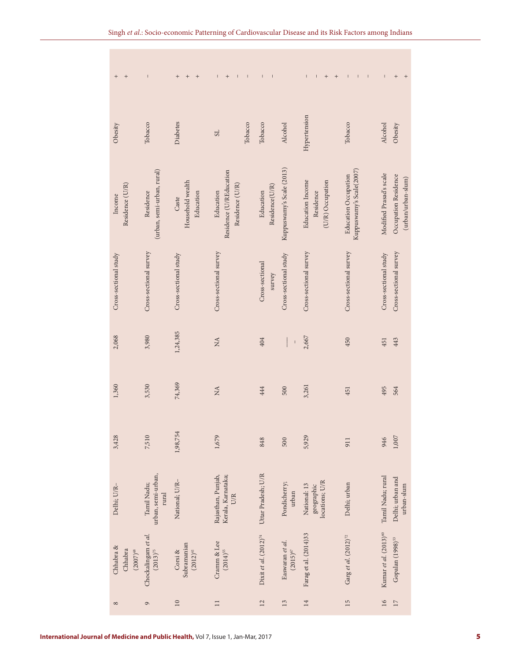| $^{+}$<br>$\qquad \qquad +$           | $\overline{1}$                             | $^{+}$<br>$\qquad \qquad +$<br>$^{+}$   | $\qquad \qquad +$<br>$\mathsf I$<br>$\mathbf I$<br>L    | $\begin{array}{c} \rule{0pt}{2.5ex} \rule{0pt}{2.5ex} \rule{0pt}{2.5ex} \rule{0pt}{2.5ex} \rule{0pt}{2.5ex} \rule{0pt}{2.5ex} \rule{0pt}{2.5ex} \rule{0pt}{2.5ex} \rule{0pt}{2.5ex} \rule{0pt}{2.5ex} \rule{0pt}{2.5ex} \rule{0pt}{2.5ex} \rule{0pt}{2.5ex} \rule{0pt}{2.5ex} \rule{0pt}{2.5ex} \rule{0pt}{2.5ex} \rule{0pt}{2.5ex} \rule{0pt}{2.5ex} \rule{0pt}{2.5ex} \rule{0$<br>$\mathsf I$ |                                  | $\mathsf I$<br>$\qquad \qquad +$<br>$\mathsf I$<br>$^{+}$ | $\sf I$<br>$\sf I$<br>$\sf I$                           | $\mathsf I$<br>$^{+}$<br>$^{+}$                                       |  |
|---------------------------------------|--------------------------------------------|-----------------------------------------|---------------------------------------------------------|-------------------------------------------------------------------------------------------------------------------------------------------------------------------------------------------------------------------------------------------------------------------------------------------------------------------------------------------------------------------------------------------------|----------------------------------|-----------------------------------------------------------|---------------------------------------------------------|-----------------------------------------------------------------------|--|
| Obesity                               | Tobacco                                    | Diabetes                                | Tobacco<br>$_{\rm 1S}$                                  | Tobacco                                                                                                                                                                                                                                                                                                                                                                                         | Alcohol                          | Hypertension                                              | Tobacco                                                 | Alcohol<br>Obesity                                                    |  |
| Residence (U/R)<br>Income             | (urban, semi-urban, rural)<br>Residence    | Household wealth<br>Education<br>Caste  | Residence (U/REducation<br>Residence (U/R)<br>Education | Residence(U/R)<br>Education                                                                                                                                                                                                                                                                                                                                                                     | Kuppuswamy's Scale (2013)        | <b>Education</b> Income<br>(U/R) Occupation<br>Residence  | Kuppuswamy's Scale(2007)<br><b>Education Occupation</b> | Modified Prasad's scale<br>Occupation Residence<br>(urban/urban-slum) |  |
| Cross-sectional study                 | Cross-sectional survey                     | Cross-sectional study                   | Cross-sectional survey                                  | Cross-sectional<br>survey                                                                                                                                                                                                                                                                                                                                                                       | Cross-sectional study            | Cross-sectional survey                                    | Cross-sectional survey                                  | Cross-sectional survey<br>Cross-sectional study                       |  |
| 2,068                                 | 3,980                                      | 1,24,385                                | NA                                                      | 404                                                                                                                                                                                                                                                                                                                                                                                             |                                  | 2,667                                                     | 450                                                     | 443<br>451                                                            |  |
| 1,360                                 | 3,530                                      | 74,369                                  | NA                                                      | 444                                                                                                                                                                                                                                                                                                                                                                                             | 500                              | 3,261                                                     | 451                                                     | 495<br>564                                                            |  |
| 3,428                                 | 7,510                                      | 1,98,754                                | 1,679                                                   | 848                                                                                                                                                                                                                                                                                                                                                                                             | 500                              | 5,929                                                     | 911                                                     | 1,007<br>946                                                          |  |
| Delhi; U/R-                           | urban, semi-urban,<br>Tamil Nadu;<br>rural | National; U/R-                          | Kerala, Karnataka;<br>Rajasthan, Punjab,<br><b>U/R</b>  | Uttar Pradesh; U/R                                                                                                                                                                                                                                                                                                                                                                              | Pondicherry;<br>urban            | locations; U/R<br>National: 13<br>geographic              | Delhi; urban                                            | Tamil Nadu; rural<br>Delhi; urban and<br>urban-slum                   |  |
| Chhabra &<br>Chhabra<br>$(2007)^{48}$ | Chockalingam et al.<br>$(2013)^{75}$       | Subramanian<br>$(2012)^{41}$<br>Corsi & | Cramm & Lee<br>$(2014)^{55}$                            | Dixit et al. $(2012)^{74}$                                                                                                                                                                                                                                                                                                                                                                      | Easwaran et al.<br>$(2015)^{67}$ | Farag et al. (2014)33                                     | Garg et al. $(2012)^{72}$                               | Kumar et al. (2013) <sup>60</sup><br>Gopalan (1998) <sup>53</sup>     |  |
| $^{\circ}$                            | $\sigma$                                   | $\overline{10}$                         | $\Box$                                                  | 12                                                                                                                                                                                                                                                                                                                                                                                              | 13                               | 14                                                        | 15                                                      | 16<br>17                                                              |  |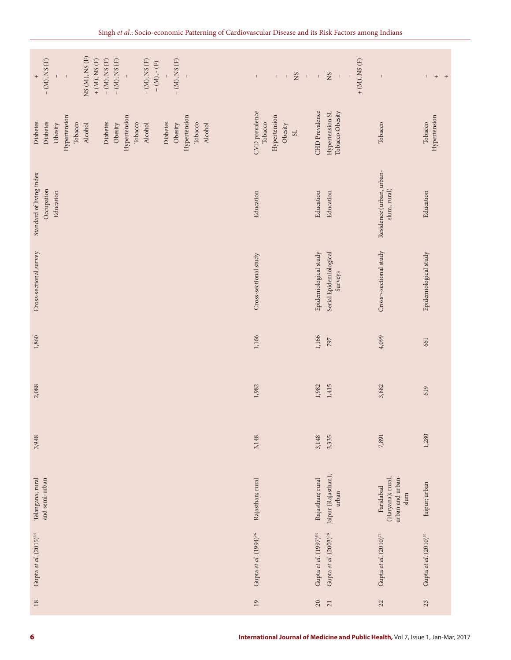| NS (M), NS (F)<br>$- (M)$ , NS $(F)$<br>$+$ (M), NS (F)<br>$-$ (M), NS $(\mathrm{F})$<br>$-$ (M), NS $(\mathrm{F})$<br>$- (M), NS (F)$<br>$- (M), NS (F)$<br>$+$ (M), $\text{-}$ (F)<br>$\bar{1}$<br>$^{+}$<br>$\mathsf I$ | $_{\rm NS}$<br>$\Gamma = \Gamma$<br>$\mathsf I$            | $+$ (M), NS (F)<br>$_{\rm NS}$<br>$\sim 1$ , $\sim 1$<br>$\bar{1}$ | $\overline{\phantom{a}}$                                                    | $^{\mathrm{+}}$<br>$+$     |
|----------------------------------------------------------------------------------------------------------------------------------------------------------------------------------------------------------------------------|------------------------------------------------------------|--------------------------------------------------------------------|-----------------------------------------------------------------------------|----------------------------|
| Hypertension<br>Hypertension<br>Hypertension<br>Diabetes<br>Diabetes<br>Diabetes<br>Diabetes<br>Tobacco<br>Tobacco<br>Tobacco<br>Obesity<br>Alcohol<br>Obesity<br>Alcohol<br>Obesity<br>Alcohol                            | CVD prevalence<br>Hypertension<br>Tobacco<br>Obesity<br>SL | CHD Prevalence<br>Tobacco Obesity<br>Hypertension SL               | Tobacco                                                                     | Hypertension<br>Tobacco    |
| Standard of living index<br>Occupation<br>Education                                                                                                                                                                        | Education                                                  | Education<br>Education                                             | Residence (urban, urban-<br>slum, rural)                                    | Education                  |
| Cross-sectional survey                                                                                                                                                                                                     | Cross-sectional study                                      | Epidemiological study<br>Serial Epidemiological<br>Surveys         | Cross-sectional study                                                       | Epidemiological study      |
| 1,860                                                                                                                                                                                                                      | 1,166                                                      | 1,166<br>797                                                       | 4,099                                                                       | 661                        |
| 2,088                                                                                                                                                                                                                      | 1,982                                                      | 1,415<br>1,982                                                     | 3,882                                                                       | 619                        |
| 3,948                                                                                                                                                                                                                      | 3,148                                                      | 3,148<br>3,335                                                     | 7,891                                                                       | 1,280                      |
| Telangana; rural<br>and semi-urban                                                                                                                                                                                         | Rajasthan; rural                                           | Jaipur (Rajasthan);<br>Rajasthan; rural<br>urban                   | urban and urban-<br>(Haryana); rural,<br>Faridabad<br>$\operatorname{slum}$ | Jaipur; urban              |
| Gupta et al. (2015) <sup>34</sup>                                                                                                                                                                                          | Gupta et al. $(1994)^{26}$                                 | Gupta et al. (1997) <sup>84</sup><br>Gupta et al. $(2003)^{28}$    | Gupta et al. $(2010)^{71}$                                                  | Gupta et al. $(2010)^{31}$ |
| $18\,$                                                                                                                                                                                                                     | 19                                                         | $20\,$<br>$21$                                                     | 22                                                                          | 23                         |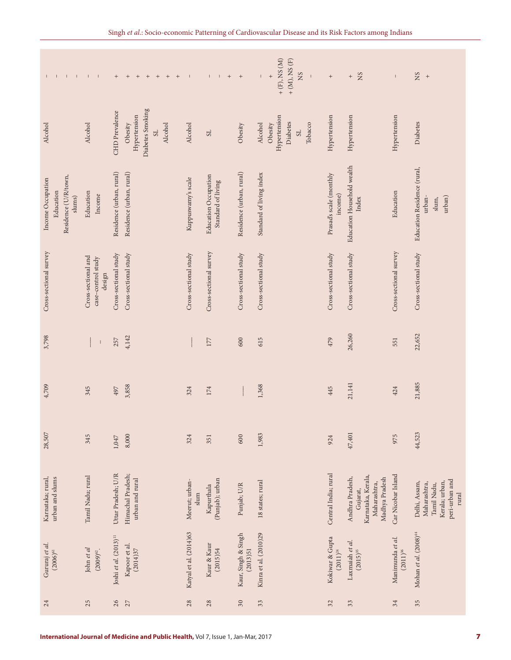| $\perp$<br>$\mathbf{1}$ $\mathbf{1}$<br>Τ.                       | $\mathbf{I} = \mathbf{I}$                           | $\qquad \qquad +$<br>$\,$ +<br>$\,$ + $\,$<br>$\,$ +<br>$+$<br>$+$<br>$^+$                 | $\mathbf{I}$<br>$\mathbf{L}$<br>$\mathbf{I}$                            | $+$<br>$+$                      | $+$ (F), NS (M)<br>$+ (M)$ , NS $(F)$<br>$_{\rm NS}$<br>$^{+}$<br>$\mathsf I$<br>$\mathbf{I}$ | $^+$                               | NS<br>$^+$                                                                          | $\mathsf I$                       | $_{\rm NN}$<br>$+$                                                                        |
|------------------------------------------------------------------|-----------------------------------------------------|--------------------------------------------------------------------------------------------|-------------------------------------------------------------------------|---------------------------------|-----------------------------------------------------------------------------------------------|------------------------------------|-------------------------------------------------------------------------------------|-----------------------------------|-------------------------------------------------------------------------------------------|
| Alcohol                                                          | Alcohol                                             | Diabetes Smoking<br>CHD Prevalence<br>Hypertension<br>Obesity<br>Alcohol<br>S <sub>L</sub> | Alcohol<br>S <sub>L</sub>                                               | Obesity                         | Hypertension<br>Diabetes<br>Obesity<br>Tobacco<br>Alcohol<br>S <sub>L</sub>                   | Hypertension                       | Hypertension                                                                        | Hypertension                      | Diabetes                                                                                  |
| Residence (U/R/town,<br>Income Occupation<br>Education<br>slums) | Education<br>Income                                 | Residence (urban, rural)<br>Residence (urban, rural)                                       | <b>Education Occupation</b><br>Kuppuswamy's scale<br>Standard of living | Residence (urban, rural)        | Standard of living index                                                                      | Prasad's scale (monthly<br>income) | Education Household wealth<br>Index                                                 | Education                         | Education Residence (rural,<br>urban)<br>urban-<br>slum,                                  |
| Cross-sectional survey                                           | Cross-sectional and<br>case-control study<br>design | Cross-sectional study<br>Cross-sectional study                                             | Cross-sectional survey<br>Cross-sectional study                         | Cross-sectional study           | Cross-sectional study                                                                         | Cross-sectional study              | Cross-sectional study                                                               | Cross-sectional survey            | Cross-sectional study                                                                     |
| 3,798                                                            | $\overline{\phantom{a}}$                            | 4,142<br>257                                                                               | 177                                                                     | 600                             | 615                                                                                           | 479                                | 26,260                                                                              | 551                               | 22,652                                                                                    |
| 4,709                                                            | 345                                                 | 3,858<br>497                                                                               | 324<br>$174\,$                                                          |                                 | 1,368                                                                                         | 445                                | 21,141                                                                              | 424                               | 21,885                                                                                    |
| 28,507                                                           | 345                                                 | 8,000<br>1,047                                                                             | 324<br>351                                                              | 600                             | 1,983                                                                                         | 924                                | 47,401                                                                              | 975                               | 44,523                                                                                    |
| urban and slums<br>Karnataka; rural,                             | Tamil Nadu; rural                                   | Uttar Pradesh; U/R<br>Himachal Pradesh;<br>urban and rural                                 | (Punjab); urban<br>Meerut; urban-<br>Kapurthala<br>slum                 | Punjab; U/R                     | 18 states; rural                                                                              | Central India; rural               | Karnataka, Kerala,<br>Andhra Pradesh,<br>Madhya Pradesh<br>Maharashtra,<br>Gujarat, | Car Nicobar Island                | peri-urban and<br>Kerala; urban,<br>Delhi, Assam,<br>Maharashtra,<br>Tamil Nadu,<br>rural |
| Gururaj et al.<br>$(2006)^{61}$                                  | John et al<br>$(2009)^{62}$ .                       | Joshi et al. $(2013)^{11}$<br>Kapoor et al.<br>(2014)37                                    | Katyal et al. (2014)63<br>Kaur & Kaur<br>(2015)54                       | Kaur, Singh & Singh<br>(2013)51 | Kinra et al. (2010)29                                                                         | Kokiwar & Gupta<br>$(2011)^{24}$   | Laxmaiah et al.<br>$(2015)^{35}$                                                    | Manimunda et al.<br>$(2011)^{36}$ | Mohan et al. (2008) <sup>44</sup>                                                         |
| 24                                                               | 25                                                  | 26<br>27                                                                                   | 28<br>$28$                                                              | 30                              | 33                                                                                            | 32                                 | 33                                                                                  | 34                                | 35                                                                                        |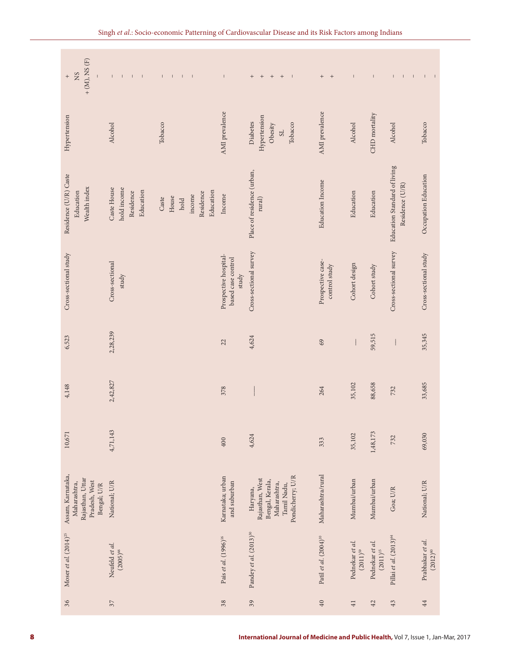| $+ (M)$ , NS $(F)$<br>$_{\rm NS}$<br>$\qquad \qquad +$                                | $\Gamma = \Gamma = \Gamma = \Gamma$                  | $\Gamma = \Gamma = \Gamma = \Gamma$                        | $\mathsf I$                                          | $\qquad \qquad +$<br>$+$<br>$+$<br>$+$<br>$\perp$                                                 | $+$ +                              | $\mathbf{I}$                     | $\mathbb{L}$                     | $\Gamma = \Gamma = \Gamma$                      | $-1-1$                            |
|---------------------------------------------------------------------------------------|------------------------------------------------------|------------------------------------------------------------|------------------------------------------------------|---------------------------------------------------------------------------------------------------|------------------------------------|----------------------------------|----------------------------------|-------------------------------------------------|-----------------------------------|
| Hypertension                                                                          | Alcohol                                              | Tobacco                                                    | AMI prevalence                                       | Hypertension<br>Diabetes<br>Obesity<br>Tobacco<br>SL                                              | AMI prevalence                     | Alcohol                          | CHD mortality                    | Alcohol                                         | Tobacco                           |
| Residence (U/R) Caste<br>Wealth index<br>Education                                    | hold income<br>Caste House<br>Education<br>Residence | Education<br>Residence<br>income<br>House<br>Caste<br>hold | Income                                               | Place of residence (urban,<br>rural)                                                              | Education Income                   | Education                        | Education                        | Education Standard of living<br>Residence (U/R) | Occupation Education              |
| Cross-sectional study                                                                 | Cross-sectional<br>study                             |                                                            | Prospective hospital-<br>based case control<br>study | Cross-sectional survey                                                                            | Prospective case-<br>control study | Cohort design                    | Cohort study                     | Cross-sectional survey                          | Cross-sectional study             |
| 6,523                                                                                 | 2,28,239                                             |                                                            | 22                                                   | 4,624                                                                                             | 69                                 |                                  | 59,515                           |                                                 | 35,345                            |
| 4,148                                                                                 | 2,42,827                                             |                                                            | 378                                                  |                                                                                                   | 264                                | 35,102                           | 88,658                           | 732                                             | 33,685                            |
| 10,671                                                                                | 4,71,143                                             |                                                            | $400\,$                                              | 4,624                                                                                             | 333                                | 35,102                           | 1,48,173                         | 732                                             | 69,030                            |
| Assam, Karnataka,<br>Rajasthan, Uttar<br>Pradesh, West<br>Maharashtra,<br>Bengal; U/R | National; U/R                                        |                                                            | Karnataka; urban<br>and suburban                     | Pondicherry; U/R<br>Rajasthan, West<br>Bengal, Kerala,<br>Maharashtra,<br>Tamil Nadu,<br>Haryana, | Maharashtra/rural                  | Mumbai/urban                     | Mumbai/urban                     | Goa; U/R                                        | National; U/R                     |
| Moser et al. $(2014)^{25}$                                                            | Neufeld et al.<br>$(2005)^{66}$                      |                                                            | Pais et al. (1996) <sup>16</sup>                     | Pandey et al. (2013) <sup>30</sup>                                                                | Patil et al. $(2004)^{10}$         | Pednekar et al.<br>$(2011)^{59}$ | Pednekar et al.<br>$(2011)^{15}$ | Pillai et al. (2013) <sup>64</sup>              | Prabhakar et al.<br>$(2012)^{80}$ |
| 36                                                                                    | $37\,$                                               |                                                            | 38                                                   | 39                                                                                                | 40                                 | $4\,1$                           | $42\,$                           | 43                                              | $44$                              |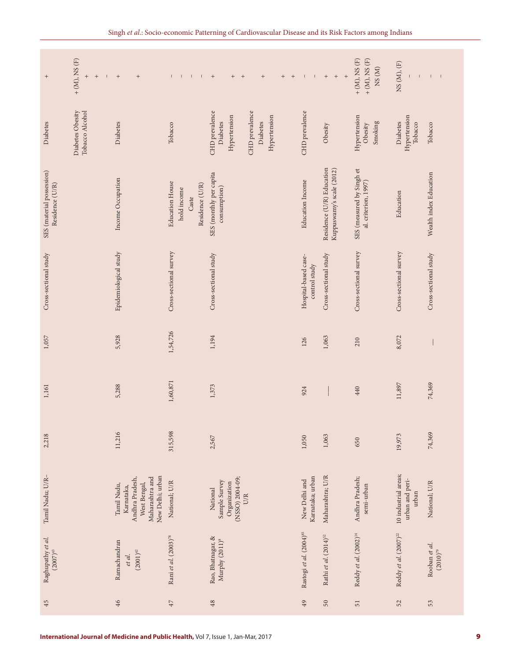| $\qquad \qquad +$                            | $+ (M)$ , NS $(F)$<br>$\qquad \qquad +$<br>$\qquad \qquad +$<br>$\mathbf{L}$ | $+$<br>$\qquad \qquad +$                                                                            | $\perp$<br>$\top$<br>т.<br>- 11                                   | $+$<br>$^+$<br>$^+$<br>$+$<br>$+$ $+$                                                    | $\perp$<br>$\mathsf I$                | $\left. +\right.$<br>$^+$<br>$^+$                      | $+ (M)$ , NS $(F)$<br>$+ (M)$ , NS $(F)$<br>NS(M) | NS (M), (F)<br>$\mathbf{I}$                      | $1 - 1$                        |
|----------------------------------------------|------------------------------------------------------------------------------|-----------------------------------------------------------------------------------------------------|-------------------------------------------------------------------|------------------------------------------------------------------------------------------|---------------------------------------|--------------------------------------------------------|---------------------------------------------------|--------------------------------------------------|--------------------------------|
| Diabetes                                     | Diabetes Obesity<br>Tobacco Alcohol                                          | Diabetes                                                                                            | Tobacco                                                           | CHD prevalence<br>CHD prevalence<br>Hypertension<br>Hypertension<br>Diabetes<br>Diabetes | CHD prevalence                        | Obesity                                                | Hypertension<br>Smoking<br>Obesity                | Hypertension<br>Diabetes<br>Tobacco              | Tobacco                        |
| SES (material possession)<br>Residence (U/R) |                                                                              | Income Occupation                                                                                   | <b>Education House</b><br>Residence (U/R)<br>hold income<br>Caste | SES (monthly per capita<br>$\mathop{\rm consumption}\nolimits)$                          | Education Income                      | Residence (U/R) Education<br>Kuppuswamy's scale (2012) | SES (measured by Singh et<br>al. criterion, 1997) | Education                                        | Wealth index Education         |
| Cross-sectional study                        |                                                                              | Epidemiological study                                                                               | Cross-sectional survey                                            | Cross-sectional study                                                                    | Hospital-based case-<br>control study | Cross-sectional study                                  | Cross-sectional survey                            | Cross-sectional survey                           | Cross-sectional study          |
| 1,057                                        |                                                                              | 5,928                                                                                               | 1,54,726                                                          | 1,194                                                                                    | 126                                   | 1,063                                                  | 210                                               | 8,072                                            |                                |
| 1,161                                        |                                                                              | 5,288                                                                                               | 1,60,871                                                          | 1,373                                                                                    | 924                                   |                                                        | 440                                               | 11,897                                           | 74,369                         |
| 2,218                                        |                                                                              | 11,216                                                                                              | 315,598                                                           | 2,567                                                                                    | 1,050                                 | 1,063                                                  | 650                                               | 19,973                                           | 74,369                         |
| Tamil Nadu; U/R-                             |                                                                              | New Delhi; urban<br>Maharashtra and<br>Andhra Pradesh,<br>West Bengal,<br>Tamil Nadu,<br>Karnataka, | National; U/R                                                     | (NSSO) 2004-09;<br>Sample Survey<br>Organization<br>National<br>U/R                      | Karnataka; urban<br>New Delhi and     | Maharashtra; U/R                                       | Andhra Pradesh;<br>semi-urban                     | 10 industrial areas;<br>urban and peri-<br>urban | National; U/R                  |
| Raghupathy et al.<br>$(2007)^{43}$           |                                                                              | Ramachandran<br>$(2001)^{42}$<br>et al.                                                             | Rani et al. (2003) <sup>78</sup>                                  | Rao, Bhatnagar, &<br>Murphy $(2011)^8$                                                   | Rastogi et al. (2004) <sup>85</sup>   | Rathi et al. $(2014)^{52}$                             | Reddy et al. (2002) <sup>14</sup>                 | Reddy et al. $(2007)^{22}$                       | Rooban et al.<br>$(2010)^{79}$ |
| 45                                           |                                                                              | 46                                                                                                  | $47$                                                              | $48\,$                                                                                   | 49                                    | 50                                                     | $\overline{51}$                                   | 52                                               | 53                             |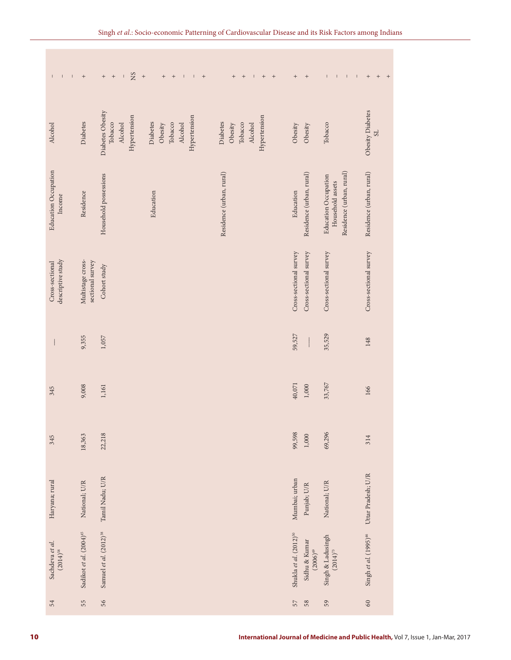| Obesity Diabetes<br>Diabetes Obesity<br>Hypertension<br>Hypertension<br>Hypertension<br>Diabetes<br>Diabetes<br>Diabetes<br>Tobacco<br>Tobacco<br>Tobacco<br>Obesity<br>Alcohol<br>Obesity<br>Alcohol<br>Tobacco<br>Alcohol<br>Obesity<br>Alcohol<br>Obesity<br>15 <sup>o</sup><br><b>Education Occupation</b><br>Residence (urban, rural)<br>Residence (urban, rural)<br>Residence (urban, rural)<br>Residence (urban, rural)<br>Household possessions<br><b>Education Occupation</b><br>Household assets<br>Education<br>Education<br>Residence<br>Income<br>Cross-sectional survey<br>Cross-sectional survey<br>Cross-sectional survey<br>Cross-sectional survey<br>descriptive study<br>Multistage cross-<br>sectional survey<br>Cross-sectional<br>Cohort study<br>35,529<br>59,527<br>9,355<br>1,057<br>148<br>40,071<br>33,767<br>$1,000$<br>9,008<br>1,161<br>345<br>166<br>69,296<br>99,598<br>22,218<br>$1,000$<br>18,363<br>314<br>345<br>Uttar Pradesh; U/R<br>Tamil Nadu; U/R<br>Mumbai; urban<br>Haryana; rural<br>National; U/R<br>National; U/R<br>Punjab; U/R<br>Samuel et al. (2012) <sup>38</sup><br>Sadikot et al. (2004) <sup>45</sup><br>Singh et al. (1995) <sup>46</sup><br>Shukla et al. (2012) <sup>50</sup><br>Singh & Ladusingh $(2014)^{73}$<br>Sidhu & Kumar $(2006)^{49}$<br>Sachdeva et al.<br>$(2014)^{58}$ |
|----------------------------------------------------------------------------------------------------------------------------------------------------------------------------------------------------------------------------------------------------------------------------------------------------------------------------------------------------------------------------------------------------------------------------------------------------------------------------------------------------------------------------------------------------------------------------------------------------------------------------------------------------------------------------------------------------------------------------------------------------------------------------------------------------------------------------------------------------------------------------------------------------------------------------------------------------------------------------------------------------------------------------------------------------------------------------------------------------------------------------------------------------------------------------------------------------------------------------------------------------------------------------------------------------------------------------------------------|
|                                                                                                                                                                                                                                                                                                                                                                                                                                                                                                                                                                                                                                                                                                                                                                                                                                                                                                                                                                                                                                                                                                                                                                                                                                                                                                                                              |
|                                                                                                                                                                                                                                                                                                                                                                                                                                                                                                                                                                                                                                                                                                                                                                                                                                                                                                                                                                                                                                                                                                                                                                                                                                                                                                                                              |
|                                                                                                                                                                                                                                                                                                                                                                                                                                                                                                                                                                                                                                                                                                                                                                                                                                                                                                                                                                                                                                                                                                                                                                                                                                                                                                                                              |
|                                                                                                                                                                                                                                                                                                                                                                                                                                                                                                                                                                                                                                                                                                                                                                                                                                                                                                                                                                                                                                                                                                                                                                                                                                                                                                                                              |
|                                                                                                                                                                                                                                                                                                                                                                                                                                                                                                                                                                                                                                                                                                                                                                                                                                                                                                                                                                                                                                                                                                                                                                                                                                                                                                                                              |
|                                                                                                                                                                                                                                                                                                                                                                                                                                                                                                                                                                                                                                                                                                                                                                                                                                                                                                                                                                                                                                                                                                                                                                                                                                                                                                                                              |
|                                                                                                                                                                                                                                                                                                                                                                                                                                                                                                                                                                                                                                                                                                                                                                                                                                                                                                                                                                                                                                                                                                                                                                                                                                                                                                                                              |
|                                                                                                                                                                                                                                                                                                                                                                                                                                                                                                                                                                                                                                                                                                                                                                                                                                                                                                                                                                                                                                                                                                                                                                                                                                                                                                                                              |
| 55<br>56<br>$60\,$<br>54<br>$58\,$<br>57<br>59                                                                                                                                                                                                                                                                                                                                                                                                                                                                                                                                                                                                                                                                                                                                                                                                                                                                                                                                                                                                                                                                                                                                                                                                                                                                                               |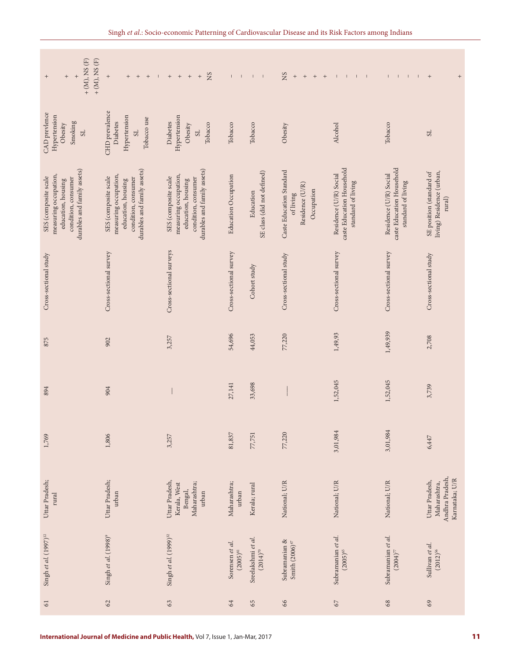| $+ (M)$ , NS $(F)$<br>$+ (M)$ , NS $(F)$<br>$\qquad \qquad +$<br>$^{+}$<br>$\qquad \qquad +$                              | $\qquad \qquad +$<br>$^+$<br>$^+$<br>$^+$<br>$\perp$                                                                      | NS<br>$^{\mathrm{+}}$<br>$\qquad \qquad +$<br>$\qquad \qquad +$<br>$^+$                                                   | $\perp$<br>$\mathbb{L}$          | $\mathsf I$<br>$\sim$ 1                 | SN<br>$+$<br>$^+$<br>$\,$ + $\,$<br>$+$                                | $\mathbf{I}$<br>$-1$<br>$\mathbf{L}$                                      | $\mathsf I$<br>$\mathbb{L}$<br>$\mathbb{L}$<br>$\mathbf{L}$               | $^+$<br>$\qquad \qquad +$                                           |
|---------------------------------------------------------------------------------------------------------------------------|---------------------------------------------------------------------------------------------------------------------------|---------------------------------------------------------------------------------------------------------------------------|----------------------------------|-----------------------------------------|------------------------------------------------------------------------|---------------------------------------------------------------------------|---------------------------------------------------------------------------|---------------------------------------------------------------------|
| <b>CAD</b> prevlence<br>Hypertension<br>Smoking<br>Obesity<br>$_{\rm 1S}$                                                 | CHD prevalence<br>Hypertension<br>Tobacco use<br>Diabetes<br>1S                                                           | Hypertension<br>Diabetes<br>Tobacco<br>Obesity<br>$_{\rm S}$                                                              | Tobacco                          | Tobacco                                 | Obesity                                                                | Alcohol                                                                   | Tobacco                                                                   | SL                                                                  |
| durables and family assets)<br>measuring occupation,<br>SES (composite scale<br>condition, consumer<br>education, housing | durables and family assets)<br>measuring occupation,<br>SES (composite scale<br>condition, consumer<br>education, housing | durables and family assets)<br>measuring occupation,<br>SES (composite scale<br>condition, consumer<br>education, housing | <b>Education Occupation</b>      | SE class (did not defined)<br>Education | Caste Education Standard<br>Residence (U/R)<br>Occupation<br>of living | caste Education Household<br>Residence (U/R) Social<br>standard of living | caste Education Household<br>Residence (U/R) Social<br>standard of living | living) Residence (urban,<br>SE position (standard of<br>rural      |
| Cross-sectional study                                                                                                     | Cross-sectional survey                                                                                                    | Cross-sectional surveys                                                                                                   | Cross-sectional survey           | Cohort study                            | Cross-sectional study                                                  | Cross-sectional survey                                                    | Cross-sectional survey                                                    | Cross-sectional study                                               |
| 875                                                                                                                       | 902                                                                                                                       | 3,257                                                                                                                     | 54,696                           | 44,053                                  | 77,220                                                                 | 1,49,93                                                                   | 1,49,939                                                                  | 2,708                                                               |
| 894                                                                                                                       | 904                                                                                                                       |                                                                                                                           | 27,141                           | 33,698                                  |                                                                        | 1,52,045                                                                  | 1,52,045                                                                  | 3,739                                                               |
| 1,769                                                                                                                     | 1,806                                                                                                                     | 3,257                                                                                                                     | 81,837                           | 77,751                                  | 77,220                                                                 | 3,01,984                                                                  | 3,01,984                                                                  | 6,447                                                               |
| Uttar Pradesh;<br>rural                                                                                                   | Uttar Pradesh;<br>urban                                                                                                   | Uttar Pradesh,<br>Maharashtra;<br>Kerala, West<br>Bengal,<br>urban                                                        | Maharashtra;<br>urban            | Kerala; rural                           | National; U/R                                                          | National; U/R                                                             | National; U/R                                                             | Andhra Pradesh,<br>Karnataka; U/R<br>Uttar Pradesh,<br>Maharashtra, |
| Singh et al. $(1997)^{12}$                                                                                                | Singh et al. (1998) <sup>9</sup>                                                                                          | Singh et al. $(1999)^{32}$                                                                                                | Sorensen et al.<br>$(2005)^{81}$ | Sreelakshmi et al.<br>$(2014)^{70}$     | Subramanian &<br>Smith $(2006)^{47}$                                   | Subramanian et al.<br>$(2005)^{65}$                                       | Subramanian et al.<br>$(2004)^{77}$                                       | Sullivan et al.<br>$(2012)^{56}$                                    |
|                                                                                                                           | 62                                                                                                                        | 63                                                                                                                        | 64                               | 65                                      | 66                                                                     | $67\,$                                                                    | 68                                                                        | 69                                                                  |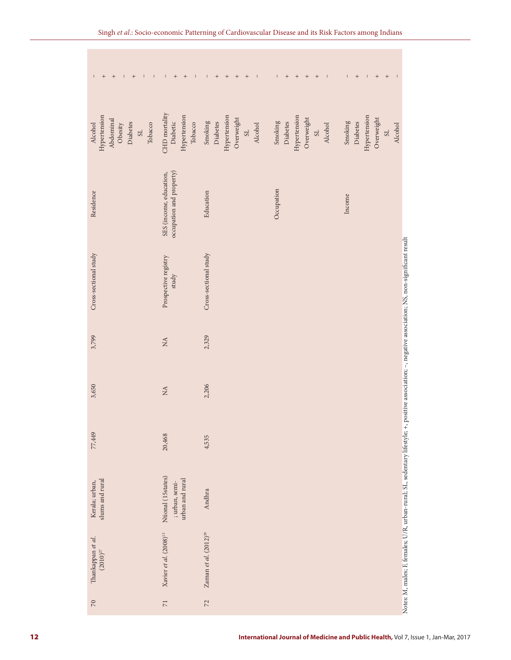| $+$<br>$^+$<br>$\mathbb{L}$<br>$\begin{array}{c} + \end{array}$<br>$\pm$<br>$\Box$<br>$\pm 1$     | $^+$<br>$+$<br>$\pm$<br>$\sim$ 1.                       | $^+$<br>$+$<br>$+$<br>$\Gamma$<br>$+$<br>$\perp$                           | $^{\mathrm{+}}$<br>$+$<br>$\,$ + $\,$<br>Γ.<br>$\qquad \qquad +$<br>$\perp$ | $^{\mathrm{+}}$<br>$^{\mathrm{+}}$<br>$\mathbb{L}$<br>$+$<br>$\pm 1$<br>$\mathsf I$ |
|---------------------------------------------------------------------------------------------------|---------------------------------------------------------|----------------------------------------------------------------------------|-----------------------------------------------------------------------------|-------------------------------------------------------------------------------------|
| Hypertension<br>Abdominal<br>Diabetes<br>Alcohol<br>Obesity<br>Tobacco<br>$\overline{\textrm{S}}$ | CHD mortality<br>Hypertension<br>Diabetic<br>Tobacco    | Hypertension<br>Overweight<br>Smoking<br>Diabetes<br>Alcohol<br>$_{\rm S}$ | Hypertension<br>Overweight<br>Smoking<br>Diabetes<br>Alcohol<br>$_{\rm S}$  | Hypertension<br>Overweight<br>Smoking<br>Diabetes<br>Alcohol<br>$_{\rm S}$          |
| Residence                                                                                         | occupation and property)<br>SES (income, education,     | Education                                                                  | Occupation                                                                  | Income                                                                              |
| Cross-sectional study                                                                             | Prospective registry<br>study                           | Cross-sectional study                                                      |                                                                             |                                                                                     |
| 3,799                                                                                             | $\rm \stackrel{A}{\sim}$                                | 2,329                                                                      |                                                                             |                                                                                     |
| 3,650                                                                                             | $\rm \stackrel{A}{\sim}$                                | 2,206                                                                      |                                                                             |                                                                                     |
| 77,449                                                                                            | 20,468                                                  | 4,535                                                                      |                                                                             |                                                                                     |
| Kerala; urban,<br>slums and rural                                                                 | Ntional (15states)<br>urban and rural<br>; urban, semi- | Andhra                                                                     |                                                                             |                                                                                     |
| Thankappan et al.<br>$(2010)^{27}$                                                                | Xavier et al. (2008) <sup>13</sup>                      | Zaman et al. $(2012)^{39}$                                                 |                                                                             |                                                                                     |
| $\sqrt{2}$                                                                                        | $\overline{\mathbf{r}}$                                 | $72$                                                                       |                                                                             |                                                                                     |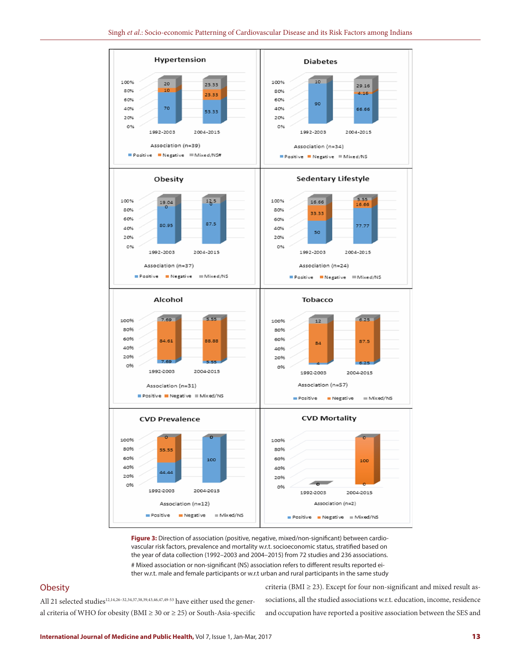

**Figure 3:** Direction of association (positive, negative, mixed/non-significant) between cardiovascular risk factors, prevalence and mortality w.r.t. socioeconomic status, stratified based on the year of data collection (1992–2003 and 2004–2015) from 72 studies and 236 associations. # Mixed association or non-significant (NS) association refers to different results reported either w.r.t. male and female participants or w.r.t urban and rural participants in the same study

## **Obesity**

All 21 selected studies<sup>12,14,26-32,34,37,38,39,43,46,47,49-53</sup> have either used the general criteria of WHO for obesity (BMI  $\geq$  30 or  $\geq$  25) or South-Asia-specific criteria (BMI  $\geq$  23). Except for four non-significant and mixed result associations, all the studied associations w.r.t. education, income, residence and occupation have reported a positive association between the SES and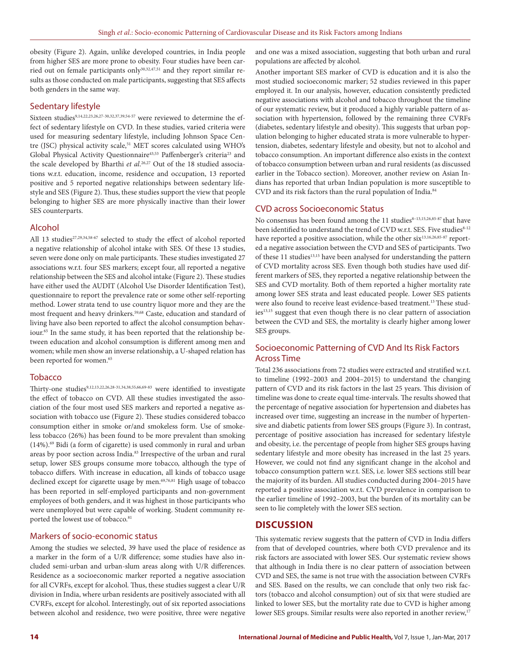obesity (Figure 2). Again, unlike developed countries, in India people from higher SES are more prone to obesity. Four studies have been carried out on female participants only<sup>30,32,47,51</sup> and they report similar results as those conducted on male participants, suggesting that SES affects both genders in the same way.

#### Sedentary lifestyle

Sixteen studies<sup>9,14,22,23,26,27-30,32,37,39,54-57</sup> were reviewed to determine the effect of sedentary lifestyle on CVD. In these studies, varied criteria were used for measuring sedentary lifestyle, including Johnson Space Centre (JSC) physical activity scale,<sup>51</sup> MET scores calculated using WHO's Global Physical Activity Questionnaire<sup>43,53</sup> Paffenberger's criteria<sup>23</sup> and the scale developed by Bharthi *et al*. 26,27 Out of the 18 studied associations w.r.t. education, income, residence and occupation, 13 reported positive and 5 reported negative relationships between sedentary lifestyle and SES (Figure 2). Thus, these studies support the view that people belonging to higher SES are more physically inactive than their lower SES counterparts.

#### Alcohol

All 13 studies<sup>27,29,34,58-67</sup> selected to study the effect of alcohol reported a negative relationship of alcohol intake with SES. Of these 13 studies, seven were done only on male participants. These studies investigated 27 associations w.r.t. four SES markers; except four, all reported a negative relationship between the SES and alcohol intake (Figure 2). These studies have either used the AUDIT (Alcohol Use Disorder Identification Test), questionnaire to report the prevalence rate or some other self-reporting method. Lower strata tend to use country liquor more and they are the most frequent and heavy drinkers.59,68 Caste, education and standard of living have also been reported to affect the alcohol consumption behaviour.<sup>65</sup> In the same study, it has been reported that the relationship between education and alcohol consumption is different among men and women; while men show an inverse relationship, a U-shaped relation has been reported for women.<sup>65</sup>

#### Tobacco

Thirty-one studies<sup>9,12,13,22,26,28-31,34,38,55,66,69-83</sup> were identified to investigate the effect of tobacco on CVD. All these studies investigated the association of the four most used SES markers and reported a negative association with tobacco use (Figure 2). These studies considered tobacco consumption either in smoke or/and smokeless form. Use of smokeless tobacco (26%) has been found to be more prevalent than smoking (14%).69 Bidi (a form of cigarette) is used commonly in rural and urban areas by poor section across India.83 Irrespective of the urban and rural setup, lower SES groups consume more tobacco, although the type of tobacco differs. With increase in education, all kinds of tobacco usage declined except for cigarette usage by men.<sup>69,76,81</sup> High usage of tobacco has been reported in self-employed participants and non-government employees of both genders, and it was highest in those participants who were unemployed but were capable of working. Student community reported the lowest use of tobacco.<sup>81</sup>

## Markers of socio-economic status

Among the studies we selected, 39 have used the place of residence as a marker in the form of a U/R difference; some studies have also included semi-urban and urban-slum areas along with U/R differences. Residence as a socioeconomic marker reported a negative association for all CVRFs, except for alcohol. Thus, these studies suggest a clear U/R division in India, where urban residents are positively associated with all CVRFs, except for alcohol. Interestingly, out of six reported associations between alcohol and residence, two were positive, three were negative and one was a mixed association, suggesting that both urban and rural populations are affected by alcohol.

Another important SES marker of CVD is education and it is also the most studied socioeconomic marker; 52 studies reviewed in this paper employed it. In our analysis, however, education consistently predicted negative associations with alcohol and tobacco throughout the timeline of our systematic review, but it produced a highly variable pattern of association with hypertension, followed by the remaining three CVRFs (diabetes, sedentary lifestyle and obesity). This suggests that urban population belonging to higher educated strata is more vulnerable to hypertension, diabetes, sedentary lifestyle and obesity, but not to alcohol and tobacco consumption. An important difference also exists in the context of tobacco consumption between urban and rural residents (as discussed earlier in the Tobacco section). Moreover, another review on Asian Indians has reported that urban Indian population is more susceptible to CVD and its risk factors than the rural population of India.<sup>84</sup>

#### CVD across Socioeconomic Status

No consensus has been found among the 11 studies<sup>8-13,15,26,85-87</sup> that have been identified to understand the trend of CVD w.r.t. SES. Five studies8-12 have reported a positive association, while the other six<sup>13,16,26,85-87</sup> reported a negative association between the CVD and SES of participants. Two of these 11 studies<sup>13,15</sup> have been analysed for understanding the pattern of CVD mortality across SES. Even though both studies have used different markers of SES, they reported a negative relationship between the SES and CVD mortality. Both of them reported a higher mortality rate among lower SES strata and least educated people. Lower SES patients were also found to receive least evidence-based treatment.<sup>13</sup> These studies<sup>13,15</sup> suggest that even though there is no clear pattern of association between the CVD and SES, the mortality is clearly higher among lower SES groups.

## Socioeconomic Patterning of CVD And Its Risk Factors Across Time

Total 236 associations from 72 studies were extracted and stratified w.r.t. to timeline (1992–2003 and 2004–2015) to understand the changing pattern of CVD and its risk factors in the last 25 years. This division of timeline was done to create equal time-intervals. The results showed that the percentage of negative association for hypertension and diabetes has increased over time, suggesting an increase in the number of hypertensive and diabetic patients from lower SES groups (Figure 3). In contrast, percentage of positive association has increased for sedentary lifestyle and obesity, i.e. the percentage of people from higher SES groups having sedentary lifestyle and more obesity has increased in the last 25 years. However, we could not find any significant change in the alcohol and tobacco consumption pattern w.r.t. SES, i.e. lower SES sections still bear the majority of its burden. All studies conducted during 2004–2015 have reported a positive association w.r.t. CVD prevalence in comparison to the earlier timeline of 1992–2003, but the burden of its mortality can be seen to lie completely with the lower SES section.

## **DISCUSSION**

This systematic review suggests that the pattern of CVD in India differs from that of developed countries, where both CVD prevalence and its risk factors are associated with lower SES. Our systematic review shows that although in India there is no clear pattern of association between CVD and SES, the same is not true with the association between CVRFs and SES. Based on the results, we can conclude that only two risk factors (tobacco and alcohol consumption) out of six that were studied are linked to lower SES, but the mortality rate due to CVD is higher among lower SES groups. Similar results were also reported in another review,<sup>17</sup>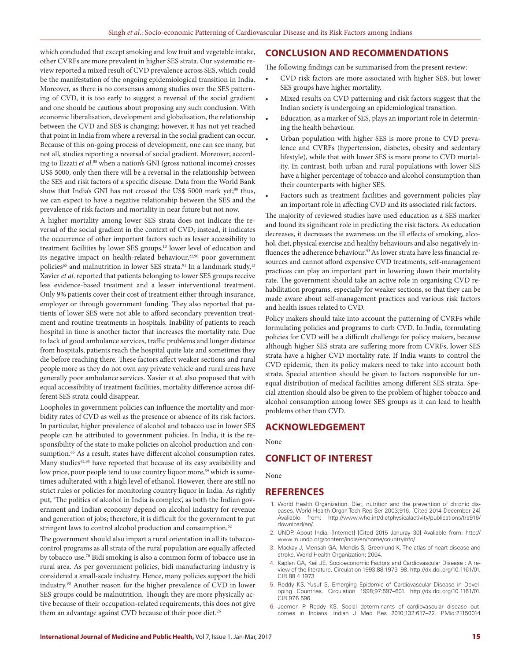which concluded that except smoking and low fruit and vegetable intake, other CVRFs are more prevalent in higher SES strata. Our systematic review reported a mixed result of CVD prevalence across SES, which could be the manifestation of the ongoing epidemiological transition in India. Moreover, as there is no consensus among studies over the SES patterning of CVD, it is too early to suggest a reversal of the social gradient and one should be cautious about proposing any such conclusion. With economic liberalisation, development and globalisation, the relationship between the CVD and SES is changing; however, it has not yet reached that point in India from where a reversal in the social gradient can occur. Because of this on-going process of development, one can see many, but not all, studies reporting a reversal of social gradient. Moreover, according to Ezzati *et al*. 88 when a nation's GNI (gross national income) crosses US\$ 5000, only then there will be a reversal in the relationship between the SES and risk factors of a specific disease. Data from the World Bank show that India's GNI has not crossed the US\$ 5000 mark yet;<sup>88</sup> thus, we can expect to have a negative relationship between the SES and the prevalence of risk factors and mortality in near future but not now.

A higher mortality among lower SES strata does not indicate the reversal of the social gradient in the context of CVD; instead, it indicates the occurrence of other important factors such as lesser accessibility to treatment facilities by lower SES groups,<sup>13</sup> lower level of education and its negative impact on health-related behaviour,<sup>22,90</sup> poor government policies<sup>65</sup> and malnutrition in lower SES strata.<sup>91</sup> In a landmark study,<sup>13</sup> Xavier *et al*. reported that patients belonging to lower SES groups receive less evidence-based treatment and a lesser interventional treatment. Only 9% patients cover their cost of treatment either through insurance, employer or through government funding. They also reported that patients of lower SES were not able to afford secondary prevention treatment and routine treatments in hospitals. Inability of patients to reach hospital in time is another factor that increases the mortality rate. Due to lack of good ambulance services, traffic problems and longer distance from hospitals, patients reach the hospital quite late and sometimes they die before reaching there. These factors affect weaker sections and rural people more as they do not own any private vehicle and rural areas have generally poor ambulance services. Xavier *et al*. also proposed that with equal accessibility of treatment facilities, mortality difference across different SES strata could disappear.

Loopholes in government policies can influence the mortality and morbidity rates of CVD as well as the presence or absence of its risk factors. In particular, higher prevalence of alcohol and tobacco use in lower SES people can be attributed to government policies. In India, it is the responsibility of the state to make policies on alcohol production and consumption.<sup>65</sup> As a result, states have different alcohol consumption rates. Many studies<sup>92,93</sup> have reported that because of its easy availability and low price, poor people tend to use country liquor more,<sup>59</sup> which is sometimes adulterated with a high level of ethanol. However, there are still no strict rules or policies for monitoring country liquor in India. As rightly put, 'The politics of alcohol in India is complex', as both the Indian government and Indian economy depend on alcohol industry for revenue and generation of jobs; therefore, it is difficult for the government to put stringent laws to control alcohol production and consumption.<sup>62</sup>

The government should also impart a rural orientation in all its tobaccocontrol programs as all strata of the rural population are equally affected by tobacco use.70 Bidi smoking is also a common form of tobacco use in rural area. As per government policies, bidi manufacturing industry is considered a small-scale industry. Hence, many policies support the bidi industry.90 Another reason for the higher prevalence of CVD in lower SES groups could be malnutrition. Though they are more physically active because of their occupation-related requirements, this does not give them an advantage against CVD because of their poor diet.<sup>26</sup>

## **CONCLUSION AND RECOMMENDATIONS**

The following findings can be summarised from the present review:

- CVD risk factors are more associated with higher SES, but lower SES groups have higher mortality.
- Mixed results on CVD patterning and risk factors suggest that the Indian society is undergoing an epidemiological transition.
- Education, as a marker of SES, plays an important role in determining the health behaviour.
- Urban population with higher SES is more prone to CVD prevalence and CVRFs (hypertension, diabetes, obesity and sedentary lifestyle), while that with lower SES is more prone to CVD mortality. In contrast, both urban and rural populations with lower SES have a higher percentage of tobacco and alcohol consumption than their counterparts with higher SES.
- Factors such as treatment facilities and government policies play an important role in affecting CVD and its associated risk factors.

The majority of reviewed studies have used education as a SES marker and found its significant role in predicting the risk factors. As education decreases, it decreases the awareness on the ill effects of smoking, alcohol, diet, physical exercise and healthy behaviours and also negatively influences the adherence behaviour.<sup>93</sup> As lower strata have less financial resources and cannot afford expensive CVD treatments, self-management practices can play an important part in lowering down their mortality rate. The government should take an active role in organising CVD rehabilitation programs, especially for weaker sections, so that they can be made aware about self-management practices and various risk factors and health issues related to CVD.

Policy makers should take into account the patterning of CVRFs while formulating policies and programs to curb CVD. In India, formulating policies for CVD will be a difficult challenge for policy makers, because although higher SES strata are suffering more from CVRFs, lower SES strata have a higher CVD mortality rate. If India wants to control the CVD epidemic, then its policy makers need to take into account both strata. Special attention should be given to factors responsible for unequal distribution of medical facilities among different SES strata. Special attention should also be given to the problem of higher tobacco and alcohol consumption among lower SES groups as it can lead to health problems other than CVD.

## **ACKNOWLEDGEMENT**

None

## **CONFLICT OF INTEREST**

None

## **REFERENCES**

- 1. World Health Organization. Diet, nutrition and the prevention of chronic diseases. World Health Organ Tech Rep Ser 2003;916. [Cited 2014 December 24] Avaliable from: http://www.who.int/dietphysicalactivity/publications/trs916/ download/en/.
- 2. UNDP. About India. [Internet] [Cited 2015 Januray 30] Avaliable from: http:// www.in.undp.org/content/india/en/home/countryinfo/.
- 3. Mackay J, Mensah GA, Mendis S, Greenlund K. The atlas of heart disease and stroke. World Health Organization; 2004.
- 4. Kaplan GA, Keil JE. Socioeconomic Factors and Cardiovascular Disease : A review of the literature. Circulation 1993;88:1973–98. http://dx.doi.org/10.1161/01. CIR.88.4.1973.
- 5. Reddy KS, Yusuf S. Emerging Epidemic of Cardiovascular Disease in Developing Countries. Circulation 1998;97:597–601. http://dx.doi.org/10.1161/01. CIR.97.6.596.
- 6. Jeemon P, Reddy KS. Social determinants of cardiovascular disease outcomes in Indians. Indian J Med Res 2010;132:617–22. PMid:21150014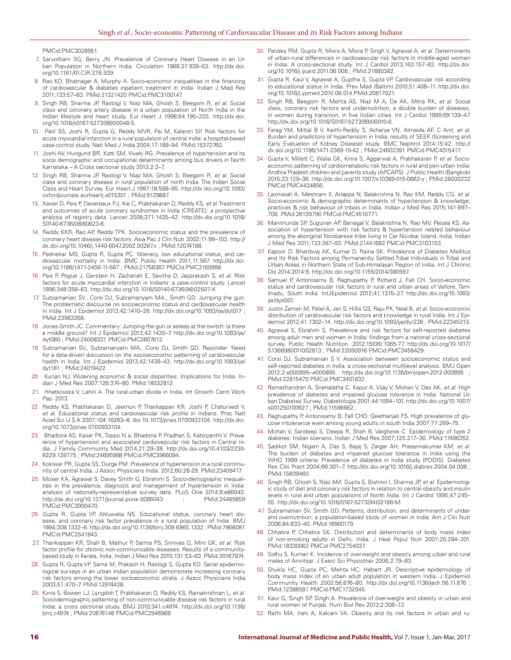PMCid:PMC3028951.

- 7. Sarvotham SG, Berry JN. Prevalence of Coronary Heart Disease in an Urban Population in Northern India. Circulation 1968;37:939–53. http://dx.doi. org/10.1161/01.CIR.37.6.939.
- 8. Rao KD, Bhatnagar A, Murphy A. Socio-economic inequalities in the financing of cardiovascular & diabetes inpatient treatment in India. Indian J Med Res 2011;133:57–63. PMid:21321420 PMCid:PMC3100147.
- 9. Singh RB, Sharma JP, Rastogi V, Niaz MA, Ghosh S, Beegom R, *et al.* Social class and coronary artery disease in a urban population of North India in the Indian lifestyle and heart study. Eur Heart J 1998;64:195–203. http://dx.doi. org/10.1016/s0167-5273(98)00048-5.
- Patil SS, Joshi R, Gupta G, Reddy MVR, Pai M, Kalantri SP. Risk factors for acute myocardial infarction in a rural population of central India: a hospital-based case-control study. Natl Med J India 2004;17:189–94. PMid:15372760.
- 11. Joshi AV, Hungund BR, Katti SM, Viveki RG. Prevalence of hypertension and its socio demographic and occupational determinants among bus drivers in North Karnataka – A Cross sectional study 2013;2:3–7.
- 12. Singh RB, Sharma JP, Rastogi V, Niaz MA, Ghosh S, Beegom R, *et al.* Social class and coronary disease in rural population of north India. The Indian Social Class and Heart Survey. Eur Heart J 1997;18:588–95. http://dx.doi.org/10.1093/ oxfordjournals.eurheartj.a015301 ; PMid:9129887.
- 13. Xavier D, Pais P, Devereaux PJ, Xie C, Prabhakaran D, Reddy KS, *et al.* Treatment and outcomes of acute coronary syndromes in India (CREATE): a prospective analysis of registry data. Lancet 2008;371:1435–42. http://dx.doi.org/10.1016/ S0140-6736(08)60623-6.
- 14. Reddy KKR, Rao AP, Reddy TPK. Socioeconomic status and the prevalence of coronary heart disease risk factors. Asia Pac J Clin Nutr 2002;11:98–103. http:// dx.doi.org/10.1046/j.1440-6047.2002.00267.x ; PMid:12074188.
- 15. Pednekar MS, Gupta R, Gupta PC. Illiteracy, low educational status, and cardiovascular mortality in India. BMC Public Health 2011;11:567. http://dx.doi. org/10.1186/1471-2458-11-567 ; PMid:21756367 PMCid:PMC3160988.
- 16. Pais P, Pogue J, Gerstein H, Zachariah E, Savitha D, Jayprakash S, *et al.* Risk factors for acute myocardial infarction in Indians: a case-control study. Lancet 1996;348:358–63. http://dx.doi.org/10.1016/S0140-6736(96)02507-X.
- 17. Subramanian SV., Corsi DJ, Subramanyam MA., Smith GD. Jumping the gun: The problematic discourse on socioeconomic status and cardiovascular health in India. Int J Epidemiol 2013;42:1410–26. http://dx.doi.org/10.1093/ije/dyt017 ; PMid:23563358.
- 18. Jones-Smith JC. Commentary: Jumping the gun or asleep at the switch: is there a middle ground? Int J Epidemiol 2013;42:1435–7. http://dx.doi.org/10.1093/ije/ dyt080 ; PMid:24008331 PMCid:PMC3807612.
- 19. Subramanian SV., Subramanyam MA., Corsi DJ, Smith GD. Rejoinder: Need for a data-driven discussion on the socioeconomic patterning of cardiovascular health in India. Int J Epidemiol 2013;42:1438–43. http://dx.doi.org/10.1093/ije/ dyt181 ; PMid:24019422.
- 20. Kurian NJ. Widening economic & social disparities: Implications for India. Indian J Med Res 2007;126:374–80. PMid:18032812.
- 21. Hnatkovska V, Lahiri A. The rural-urban divide in India. Int Growth Centr Work Pap. 2013.
- 22. Reddy KS, Prabhakaran D, Jeemon P, Thankappan KR, Joshi P, Chaturvedi V, *et al*. Educational status and cardiovascular risk profile in Indians. Proc Natl Acad Sci U S A 2007;104:16263–8. doi:10.1073/pnas.0700933104. http://dx.doi. org/10.1073/pnas.0700933104.
- Bhadoria AS, Kasar PK, Toppo N a, Bhadoria P, Pradhan S, Kabirpanthi V. Prevalence of hypertension and associated cardiovascular risk factors in Central India. J Family Community Med 2014;21:29–38. http://dx.doi.org/10.4103/2230- 8229.128775 ; PMid:24695988 PMCid:PMC3966094.
- 24. Kokiwar PR, Gupta SS, Durge PM. Prevalence of hypertension in a rural community of central India. J Assoc Physicians India. 2012;60:26-29. PMid:23409417.
- 25. Moser KA, Agrawal S, Davey Smith G, Ebrahim S. Socio-demographic inequalities in the prevalence, diagnosis and management of hypertension in India: analysis of nationally-representative survey data. PLoS One 2014;9:e86043. http://dx.doi.org/10.1371/journal.pone.0086043 PMCid:PMC3900470.
- 26. Gupta R, Gupta VP, Ahluwalia NS. Educational status, coronary heart disease, and coronary risk factor prevalence in a rural population of India. BMJ 1994;309:1332–6. http://dx.doi.org/10.1136/bmj.309.6965.1332 ; PMid:7866081 PMCid:PMC2541843.
- 27. Thankappan KR, Shah B, Mathur P, Sarma PS, Srinivas G, Mini GK, *et al.* Risk factor profile for chronic non-communicable diseases: Results of a communitybased study in Kerala, India. Indian J Med Res 2010;131:53–63. PMid:20167974.
- 28. Gupta R, Gupta VP, Sarna M, Prakash H, Rastogi S, Gupta KD. Serial epidemiological surveys in an urban Indian population demonstrate increasing coronary risk factors among the lower socioeconomic strata. J Assoc Physicians India 2003;51:470–7. PMid:12974428.
- 29. Kinra S, Bowen LJ, Lyngdoh T, Prabhakaran D, Reddy KS, Ramakrishnan L, *et al.* Sociodemographic patterning of non-communicable disease risk factors in rural India: a cross sectional study. BMJ 2010;341:c4974. http://dx.doi.org/10.1136/ bmj.c4974 ; PMid:20876148 PMCid:PMC2946988.
- 30. Pandey RM, Gupta R, Misra A, Misra P, Singh V, Agrawal A, *et al*. Determinants of urban–rural differences in cardiovascular risk factors in middle-aged women in India: A cross-sectional study. Int J Cardiol 2013;163:157–62. http://dx.doi. org/10.1016/j.ijcard.2011.06.008 ; PMid:21880382.
- 31. Gupta R, Kaul V, Agrawal A, Guptha S, Gupta VP. Cardiovascular risk according to educational status in India. Prev Med (Baltim) 2010;51:408–11. http://dx.doi. org/10.1016/j.ypmed.2010.08.014 PMid:20817021.
- 32. Singh RB, Beegom R, Mehta AS, Niaz M A, De AK, Mitra RK, *et al*. Social class, coronary risk factors and undernutrition, a double burden of diseases, in women during transition, in five Indian cities. Int J Cardiol 1999;69:139–47. http://dx.doi.org/10.1016/S0167-5273(99)00010-8.
- 33. Farag YM, Mittal B V, Keithi-Reddy S, Acharya VN, Almeida AF, C Anil, *et al*. Burden and predictors of hypertension in India: results of SEEK (Screening and Early Evaluation of Kidney Disease) study. BMC Nephrol 2014;15:42. http:// dx.doi.org/10.1186/1471-2369-15-42 ; PMid:24602391 PMCid:PMC4015417.
- 34. Gupta V, Millett C, Walia GK, Kinra S, Aggarwal A, Prabhakaran P, *et al*. Socioeconomic patterning of cardiometabolic risk factors in rural and peri-urban India: Andhra Pradesh children and parents study (APCAPS). J Public Health (Bangkok) 2015;23:129–36. http://dx.doi.org/10.1007/s10389-015-0662-y ; PMid:26000232 PMCid:PMC4434856.
- 35. Laxmaiah A, Meshram II, Arlappa N, Balakrishna N, Rao KM, Reddy CG, *et al*. Socio-economic & demographic determinants of hypertension & knowledge, practices & risk behaviour of tribals in India. Indian J Med Res 2015;141:697– 708. PMid:26139790 PMCid:PMC4510771.
- 36. Manimunda SP, Sugunan AP, Benegal V, Balakrishna N, Rao MV, Pesala KS. Association of hypertension with risk factors & hypertension related behaviour among the aboriginal Nicobarese tribe living in Car Nicobar Island, India. Indian J Med Res 2011;133:287–93. PMid:21441682 PMCid:PMC3103153.
- 37. Kapoor D, Bhardwaj AK, Kumar D, Raina SK. Prevalence of Diabetes Mellitus and Its Risk Factors among Permanently Settled Tribal Individuals in Tribal and Urban Areas in Northern State of Sub-Himalayan Region of India. Int J Chronic Dis 2014;2014:9. http://dx.doi.org/10.1155/2014/380597.
- 38. Samuel P, Antonisamy B, Raghupathy P, Richard J, Fall CH. Socio-economic status and cardiovascular risk factors in rural and urban areas of Vellore, Tamilnadu, South India. IntJEpidemiol 2012;41:1315–27. http://dx.doi.org/10.1093/ ije/dys001.
- 39. Justin Zaman M, Patel A, Jan S, Hillis GS, Raju PK, Neal B, *et al.* Socio-economic distribution of cardiovascular risk factors and knowledge in rural India. Int J Epidemiol 2012;41:1302–14. http://dx.doi.org/10.1093/ije/dyr226 ; PMid:22345313.
- 40. Agrawal S, Ebrahim S. Prevalence and risk factors for self-reported diabetes among adult men and women in India: findings from a national cross-sectional survey. Public Health Nutrition. 2012;15(06):1065-77. http://dx.doi.org/10.1017/ S1368980011002813 ; PMid:22050916 PMCid:PMC3458429.
- 41. Corsi DJ, Subramanian S V. Association between socioeconomic status and self-reported diabetes in India: a cross-sectional multilevel analysis. BMJ Open 2012;2:e000895–e000895. http://dx.doi.org/10.1136/bmjopen-2012-000895 ; PMid:22815470 PMCid:PMC3401832.
- 42. Ramachandran A, Snehalatha C, Kapur A, Vijay V, Mohan V, Das AK, *et al*. High prevalence of diabetes and impaired glucose tolerance in India: National Urban Diabetes Survey. Diabetologia 2001;44:1094–101. http://dx.doi.org/10.1007/ s001250100627 ; PMid:11596662.
- 43. Raghupathy P, Antonisamy B, Fall CHD, Geethanjali FS. High prevalence of glucose intolerance even among young adults in south India 2007;77:269–79.
- 44. Mohan V, Sandeep S, Deepa R, Shah B, Varghese C. Epidemiology of type 2 diabetes: Indian scenario. Indian J Med Res 2007;125:217–30. PMid:17496352.
- 45. Sadikot SM, Nigam A, Das S, Bajaj S, Zargar AH, Prasannakumar KM, *et al*. The burden of diabetes and impaired glucose tolerance in India using the WHO 1999 criteria: Prevalence of diabetes in India study (PODIS). Diabetes Res Clin Pract 2004;66:301–7. http://dx.doi.org/10.1016/j.diabres.2004.04.008 ; PMid:15609460.
- 46. Singh RB, Ghosh S, Niaz AM, Gupta S, Bishnoi I, Sharma JP, *et al*. Epidemiologic study of diet and coronary risk factors in relation to central obesity and insulin levels in rural and urban populations of North India. Int J Cardiol 1995;47:245– 55. http://dx.doi.org/10.1016/0167-5273(94)02186-M.
- 47. Subramanian SV, Smith GD. Patterns, distribution, and determinants of underand overnutrition: a population-based study of women in India. Am J Clin Nutr 2006;84:633–40. PMid:16960179.
- 48. Chhabra P, Chhabra SK. Distribution and determinants of body mass index of non-smoking adults in Delhi, India. J Heal Popul Nutr 2007;25:294–301. PMid:18330062 PMCid:PMC2754037.
- 49. Sidhu S, Kumari K. Incidence of overweight and obesity among urban and rural males of Amritsar. J Exerc Sci Physiother 2006;2:79–83.
- 50. Shukla HC, Gupta PC, Mehta HC, Hébert JR. Descriptive epidemiology of body mass index of an urban adult population in western India. J Epidemiol Community Health 2002;56:876–80. http://dx.doi.org/10.1136/jech.56.11.876 ; PMid:12388581 PMCid:PMC1732045.
- 51. Kaur G, Singh SP, Singh A. Prevalence of overweight and obesity in urban and rural women of Punjab. Hum Biol Rev 2013;2:306–13.
- 52. Rathi MA, Irani A, Kakrani VA. Obesity and its risk factors in urban and ru-